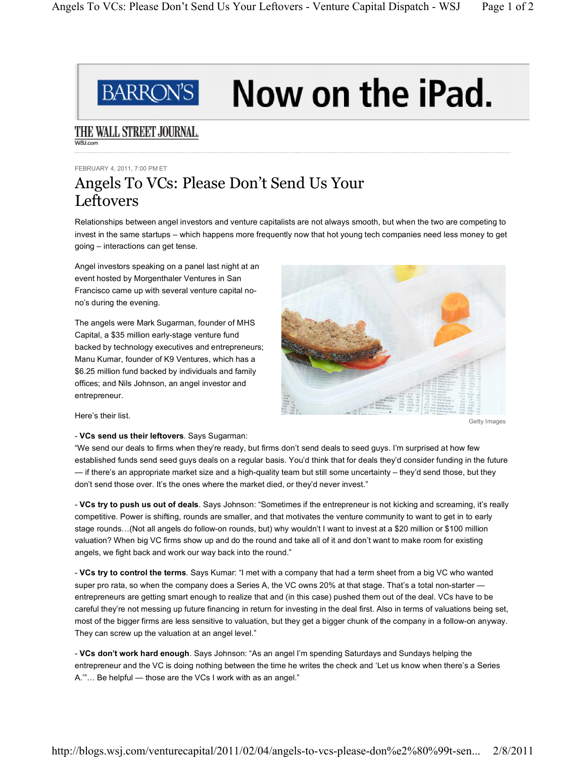

## Now on the iPad.

## THE WALL STREET JOURNAL. **WSLcom**

FEBRUARY 4, 2011, 7:00 PM ET

## Angels To VCs: Please Don't Send Us Your Leftovers

Relationships between angel investors and venture capitalists are not always smooth, but when the two are competing to invest in the same startups - which happens more frequently now that hot young tech companies need less money to get going - interactions can get tense.

Angel investors speaking on a panel last night at an event hosted by Morgenthaler Ventures in San Francisco came up with several venture capital nono's during the evening.

The angels were Mark Sugarman, founder of MHS Capital, a \$35 million early-stage venture fund backed by technology executives and entrepreneurs; Manu Kumar, founder of K9 Ventures, which has a \$6.25 million fund backed by individuals and family offices; and Nils Johnson, an angel investor and entrepreneur.



Getty Images

Here's their list.

- **VCs send us their leftovers**. Says Sugarman:

"We send our deals to firms when they're ready, but firms don't send deals to seed guys. I'm surprised at how few established funds send seed guys deals on a regular basis. You'd think that for deals they'd consider funding in the future — if there's an appropriate market size and a high-quality team but still some uncertainty - they'd send those, but they don't send those over. It's the ones where the market died, or they'd never invest."

- VCs try to push us out of deals. Says Johnson: "Sometimes if the entrepreneur is not kicking and screaming, it's really competitive. Power is shifting, rounds are smaller, and that motivates the venture community to want to get in to early stage rounds...(Not all angels do follow-on rounds, but) why wouldn't I want to invest at a \$20 million or \$100 million valuation? When big VC firms show up and do the round and take all of it and don't want to make room for existing angels, we fight back and work our way back into the round."

- VCs try to control the terms. Says Kumar: "I met with a company that had a term sheet from a big VC who wanted super pro rata, so when the company does a Series A, the VC owns 20% at that stage. That's a total non-starter entrepreneurs are getting smart enough to realize that and (in this case) pushed them out of the deal. VCs have to be careful they're not messing up future financing in return for investing in the deal first. Also in terms of valuations being set, most of the bigger firms are less sensitive to valuation, but they get a bigger chunk of the company in a follow-on anyway. They can screw up the valuation at an angel level."

- VCs don't work hard enough. Says Johnson: "As an angel I'm spending Saturdays and Sundays helping the entrepreneur and the VC is doing nothing between the time he writes the check and 'Let us know when there's a Series A."... Be helpful - those are the VCs I work with as an angel."